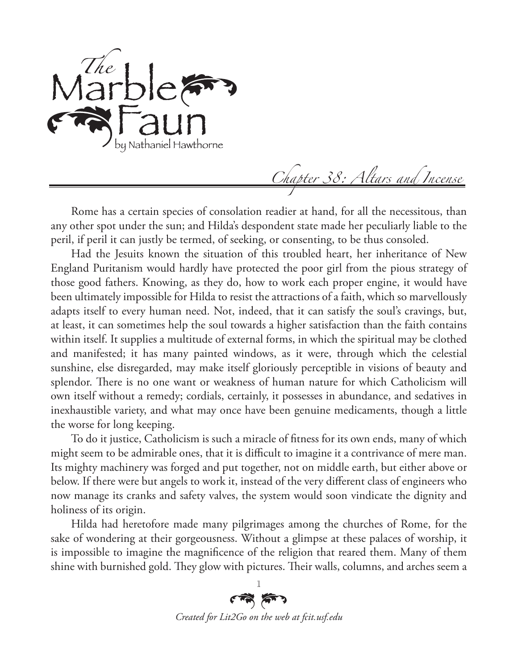

*Chapter 38: Altars and Incense*

Rome has a certain species of consolation readier at hand, for all the necessitous, than any other spot under the sun; and Hilda's despondent state made her peculiarly liable to the peril, if peril it can justly be termed, of seeking, or consenting, to be thus consoled.

Had the Jesuits known the situation of this troubled heart, her inheritance of New England Puritanism would hardly have protected the poor girl from the pious strategy of those good fathers. Knowing, as they do, how to work each proper engine, it would have been ultimately impossible for Hilda to resist the attractions of a faith, which so marvellously adapts itself to every human need. Not, indeed, that it can satisfy the soul's cravings, but, at least, it can sometimes help the soul towards a higher satisfaction than the faith contains within itself. It supplies a multitude of external forms, in which the spiritual may be clothed and manifested; it has many painted windows, as it were, through which the celestial sunshine, else disregarded, may make itself gloriously perceptible in visions of beauty and splendor. There is no one want or weakness of human nature for which Catholicism will own itself without a remedy; cordials, certainly, it possesses in abundance, and sedatives in inexhaustible variety, and what may once have been genuine medicaments, though a little the worse for long keeping.

To do it justice, Catholicism is such a miracle of fitness for its own ends, many of which might seem to be admirable ones, that it is difficult to imagine it a contrivance of mere man. Its mighty machinery was forged and put together, not on middle earth, but either above or below. If there were but angels to work it, instead of the very different class of engineers who now manage its cranks and safety valves, the system would soon vindicate the dignity and holiness of its origin.

Hilda had heretofore made many pilgrimages among the churches of Rome, for the sake of wondering at their gorgeousness. Without a glimpse at these palaces of worship, it is impossible to imagine the magnificence of the religion that reared them. Many of them shine with burnished gold. They glow with pictures. Their walls, columns, and arches seem a

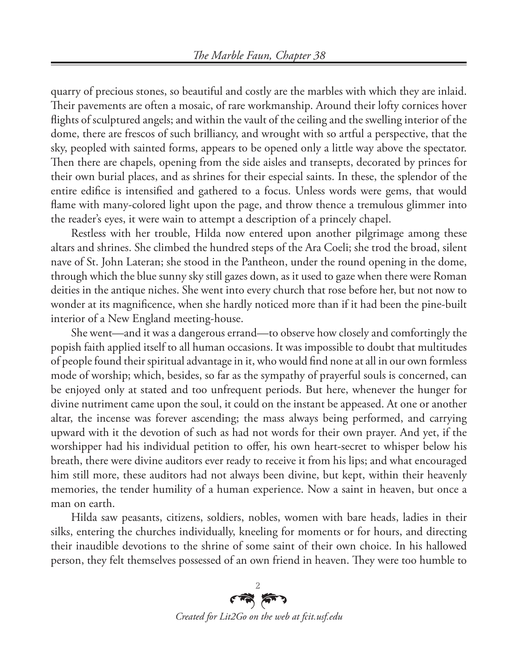quarry of precious stones, so beautiful and costly are the marbles with which they are inlaid. Their pavements are often a mosaic, of rare workmanship. Around their lofty cornices hover flights of sculptured angels; and within the vault of the ceiling and the swelling interior of the dome, there are frescos of such brilliancy, and wrought with so artful a perspective, that the sky, peopled with sainted forms, appears to be opened only a little way above the spectator. Then there are chapels, opening from the side aisles and transepts, decorated by princes for their own burial places, and as shrines for their especial saints. In these, the splendor of the entire edifice is intensified and gathered to a focus. Unless words were gems, that would flame with many-colored light upon the page, and throw thence a tremulous glimmer into the reader's eyes, it were wain to attempt a description of a princely chapel.

Restless with her trouble, Hilda now entered upon another pilgrimage among these altars and shrines. She climbed the hundred steps of the Ara Coeli; she trod the broad, silent nave of St. John Lateran; she stood in the Pantheon, under the round opening in the dome, through which the blue sunny sky still gazes down, as it used to gaze when there were Roman deities in the antique niches. She went into every church that rose before her, but not now to wonder at its magnificence, when she hardly noticed more than if it had been the pine-built interior of a New England meeting-house.

She went—and it was a dangerous errand—to observe how closely and comfortingly the popish faith applied itself to all human occasions. It was impossible to doubt that multitudes of people found their spiritual advantage in it, who would find none at all in our own formless mode of worship; which, besides, so far as the sympathy of prayerful souls is concerned, can be enjoyed only at stated and too unfrequent periods. But here, whenever the hunger for divine nutriment came upon the soul, it could on the instant be appeased. At one or another altar, the incense was forever ascending; the mass always being performed, and carrying upward with it the devotion of such as had not words for their own prayer. And yet, if the worshipper had his individual petition to offer, his own heart-secret to whisper below his breath, there were divine auditors ever ready to receive it from his lips; and what encouraged him still more, these auditors had not always been divine, but kept, within their heavenly memories, the tender humility of a human experience. Now a saint in heaven, but once a man on earth.

Hilda saw peasants, citizens, soldiers, nobles, women with bare heads, ladies in their silks, entering the churches individually, kneeling for moments or for hours, and directing their inaudible devotions to the shrine of some saint of their own choice. In his hallowed person, they felt themselves possessed of an own friend in heaven. They were too humble to

 $\overrightarrow{AB}$ *Created for Lit2Go on the web at fcit.usf.edu*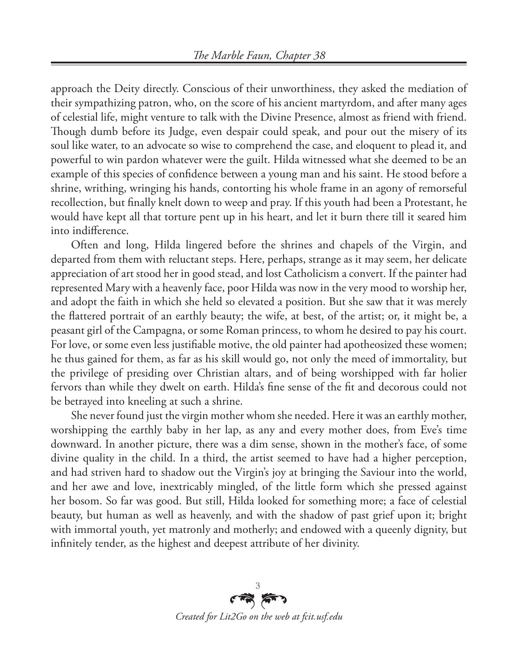approach the Deity directly. Conscious of their unworthiness, they asked the mediation of their sympathizing patron, who, on the score of his ancient martyrdom, and after many ages of celestial life, might venture to talk with the Divine Presence, almost as friend with friend. Though dumb before its Judge, even despair could speak, and pour out the misery of its soul like water, to an advocate so wise to comprehend the case, and eloquent to plead it, and powerful to win pardon whatever were the guilt. Hilda witnessed what she deemed to be an example of this species of confidence between a young man and his saint. He stood before a shrine, writhing, wringing his hands, contorting his whole frame in an agony of remorseful recollection, but finally knelt down to weep and pray. If this youth had been a Protestant, he would have kept all that torture pent up in his heart, and let it burn there till it seared him into indifference.

Often and long, Hilda lingered before the shrines and chapels of the Virgin, and departed from them with reluctant steps. Here, perhaps, strange as it may seem, her delicate appreciation of art stood her in good stead, and lost Catholicism a convert. If the painter had represented Mary with a heavenly face, poor Hilda was now in the very mood to worship her, and adopt the faith in which she held so elevated a position. But she saw that it was merely the flattered portrait of an earthly beauty; the wife, at best, of the artist; or, it might be, a peasant girl of the Campagna, or some Roman princess, to whom he desired to pay his court. For love, or some even less justifiable motive, the old painter had apotheosized these women; he thus gained for them, as far as his skill would go, not only the meed of immortality, but the privilege of presiding over Christian altars, and of being worshipped with far holier fervors than while they dwelt on earth. Hilda's fine sense of the fit and decorous could not be betrayed into kneeling at such a shrine.

She never found just the virgin mother whom she needed. Here it was an earthly mother, worshipping the earthly baby in her lap, as any and every mother does, from Eve's time downward. In another picture, there was a dim sense, shown in the mother's face, of some divine quality in the child. In a third, the artist seemed to have had a higher perception, and had striven hard to shadow out the Virgin's joy at bringing the Saviour into the world, and her awe and love, inextricably mingled, of the little form which she pressed against her bosom. So far was good. But still, Hilda looked for something more; a face of celestial beauty, but human as well as heavenly, and with the shadow of past grief upon it; bright with immortal youth, yet matronly and motherly; and endowed with a queenly dignity, but infinitely tender, as the highest and deepest attribute of her divinity.

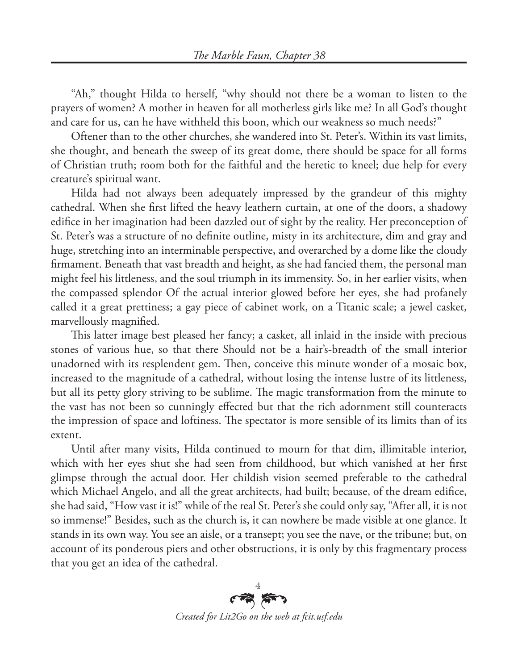"Ah," thought Hilda to herself, "why should not there be a woman to listen to the prayers of women? A mother in heaven for all motherless girls like me? In all God's thought and care for us, can he have withheld this boon, which our weakness so much needs?"

Oftener than to the other churches, she wandered into St. Peter's. Within its vast limits, she thought, and beneath the sweep of its great dome, there should be space for all forms of Christian truth; room both for the faithful and the heretic to kneel; due help for every creature's spiritual want.

Hilda had not always been adequately impressed by the grandeur of this mighty cathedral. When she first lifted the heavy leathern curtain, at one of the doors, a shadowy edifice in her imagination had been dazzled out of sight by the reality. Her preconception of St. Peter's was a structure of no definite outline, misty in its architecture, dim and gray and huge, stretching into an interminable perspective, and overarched by a dome like the cloudy firmament. Beneath that vast breadth and height, as she had fancied them, the personal man might feel his littleness, and the soul triumph in its immensity. So, in her earlier visits, when the compassed splendor Of the actual interior glowed before her eyes, she had profanely called it a great prettiness; a gay piece of cabinet work, on a Titanic scale; a jewel casket, marvellously magnified.

This latter image best pleased her fancy; a casket, all inlaid in the inside with precious stones of various hue, so that there Should not be a hair's-breadth of the small interior unadorned with its resplendent gem. Then, conceive this minute wonder of a mosaic box, increased to the magnitude of a cathedral, without losing the intense lustre of its littleness, but all its petty glory striving to be sublime. The magic transformation from the minute to the vast has not been so cunningly effected but that the rich adornment still counteracts the impression of space and loftiness. The spectator is more sensible of its limits than of its extent.

Until after many visits, Hilda continued to mourn for that dim, illimitable interior, which with her eyes shut she had seen from childhood, but which vanished at her first glimpse through the actual door. Her childish vision seemed preferable to the cathedral which Michael Angelo, and all the great architects, had built; because, of the dream edifice, she had said, "How vast it is!" while of the real St. Peter's she could only say, "After all, it is not so immense!" Besides, such as the church is, it can nowhere be made visible at one glance. It stands in its own way. You see an aisle, or a transept; you see the nave, or the tribune; but, on account of its ponderous piers and other obstructions, it is only by this fragmentary process that you get an idea of the cathedral.

وسط لیسه *Created for Lit2Go on the web at fcit.usf.edu*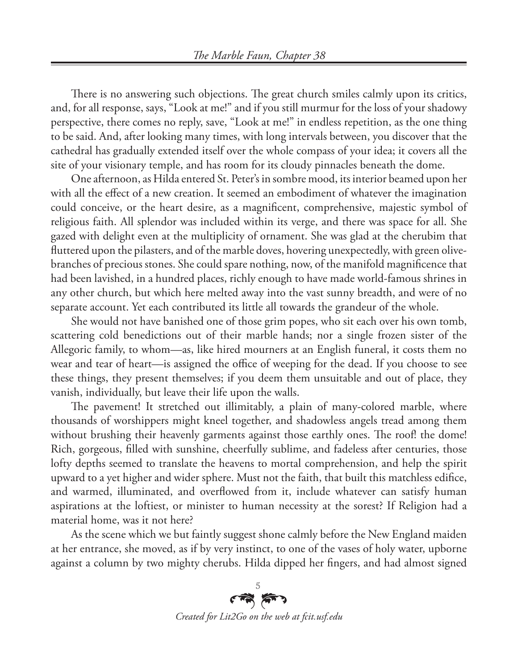There is no answering such objections. The great church smiles calmly upon its critics, and, for all response, says, "Look at me!" and if you still murmur for the loss of your shadowy perspective, there comes no reply, save, "Look at me!" in endless repetition, as the one thing to be said. And, after looking many times, with long intervals between, you discover that the cathedral has gradually extended itself over the whole compass of your idea; it covers all the site of your visionary temple, and has room for its cloudy pinnacles beneath the dome.

One afternoon, as Hilda entered St. Peter's in sombre mood, its interior beamed upon her with all the effect of a new creation. It seemed an embodiment of whatever the imagination could conceive, or the heart desire, as a magnificent, comprehensive, majestic symbol of religious faith. All splendor was included within its verge, and there was space for all. She gazed with delight even at the multiplicity of ornament. She was glad at the cherubim that fluttered upon the pilasters, and of the marble doves, hovering unexpectedly, with green olivebranches of precious stones. She could spare nothing, now, of the manifold magnificence that had been lavished, in a hundred places, richly enough to have made world-famous shrines in any other church, but which here melted away into the vast sunny breadth, and were of no separate account. Yet each contributed its little all towards the grandeur of the whole.

She would not have banished one of those grim popes, who sit each over his own tomb, scattering cold benedictions out of their marble hands; nor a single frozen sister of the Allegoric family, to whom—as, like hired mourners at an English funeral, it costs them no wear and tear of heart—is assigned the office of weeping for the dead. If you choose to see these things, they present themselves; if you deem them unsuitable and out of place, they vanish, individually, but leave their life upon the walls.

The pavement! It stretched out illimitably, a plain of many-colored marble, where thousands of worshippers might kneel together, and shadowless angels tread among them without brushing their heavenly garments against those earthly ones. The roof! the dome! Rich, gorgeous, filled with sunshine, cheerfully sublime, and fadeless after centuries, those lofty depths seemed to translate the heavens to mortal comprehension, and help the spirit upward to a yet higher and wider sphere. Must not the faith, that built this matchless edifice, and warmed, illuminated, and overflowed from it, include whatever can satisfy human aspirations at the loftiest, or minister to human necessity at the sorest? If Religion had a material home, was it not here?

As the scene which we but faintly suggest shone calmly before the New England maiden at her entrance, she moved, as if by very instinct, to one of the vases of holy water, upborne against a column by two mighty cherubs. Hilda dipped her fingers, and had almost signed

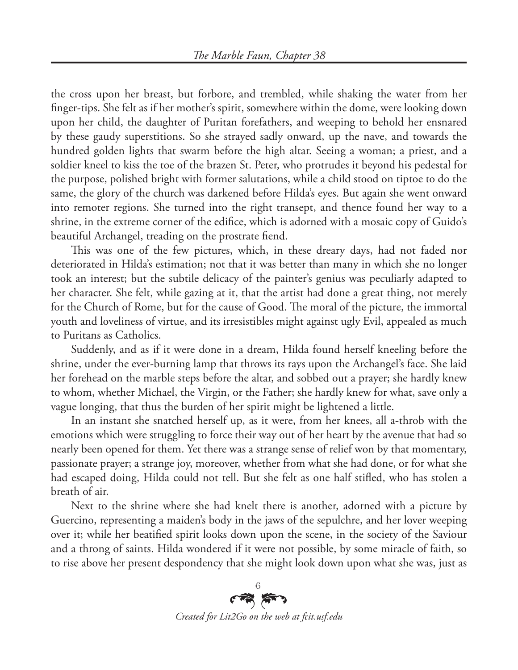the cross upon her breast, but forbore, and trembled, while shaking the water from her finger-tips. She felt as if her mother's spirit, somewhere within the dome, were looking down upon her child, the daughter of Puritan forefathers, and weeping to behold her ensnared by these gaudy superstitions. So she strayed sadly onward, up the nave, and towards the hundred golden lights that swarm before the high altar. Seeing a woman; a priest, and a soldier kneel to kiss the toe of the brazen St. Peter, who protrudes it beyond his pedestal for the purpose, polished bright with former salutations, while a child stood on tiptoe to do the same, the glory of the church was darkened before Hilda's eyes. But again she went onward into remoter regions. She turned into the right transept, and thence found her way to a shrine, in the extreme corner of the edifice, which is adorned with a mosaic copy of Guido's beautiful Archangel, treading on the prostrate fiend.

This was one of the few pictures, which, in these dreary days, had not faded nor deteriorated in Hilda's estimation; not that it was better than many in which she no longer took an interest; but the subtile delicacy of the painter's genius was peculiarly adapted to her character. She felt, while gazing at it, that the artist had done a great thing, not merely for the Church of Rome, but for the cause of Good. The moral of the picture, the immortal youth and loveliness of virtue, and its irresistibles might against ugly Evil, appealed as much to Puritans as Catholics.

Suddenly, and as if it were done in a dream, Hilda found herself kneeling before the shrine, under the ever-burning lamp that throws its rays upon the Archangel's face. She laid her forehead on the marble steps before the altar, and sobbed out a prayer; she hardly knew to whom, whether Michael, the Virgin, or the Father; she hardly knew for what, save only a vague longing, that thus the burden of her spirit might be lightened a little.

In an instant she snatched herself up, as it were, from her knees, all a-throb with the emotions which were struggling to force their way out of her heart by the avenue that had so nearly been opened for them. Yet there was a strange sense of relief won by that momentary, passionate prayer; a strange joy, moreover, whether from what she had done, or for what she had escaped doing, Hilda could not tell. But she felt as one half stifled, who has stolen a breath of air.

Next to the shrine where she had knelt there is another, adorned with a picture by Guercino, representing a maiden's body in the jaws of the sepulchre, and her lover weeping over it; while her beatified spirit looks down upon the scene, in the society of the Saviour and a throng of saints. Hilda wondered if it were not possible, by some miracle of faith, so to rise above her present despondency that she might look down upon what she was, just as

وسط بعد *Created for Lit2Go on the web at fcit.usf.edu*